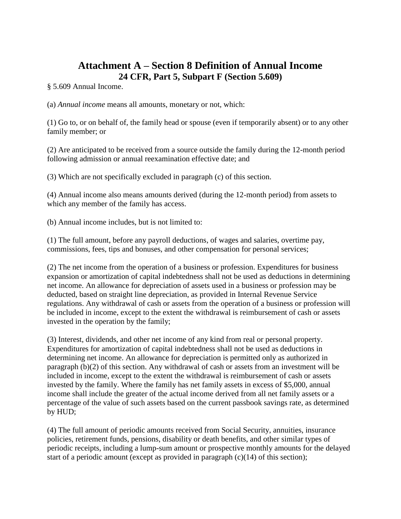# **Attachment A – Section 8 Definition of Annual Income 24 CFR, Part 5, Subpart F (Section 5.609)**

§ 5.609 Annual Income.

(a) *Annual income* means all amounts, monetary or not, which:

(1) Go to, or on behalf of, the family head or spouse (even if temporarily absent) or to any other family member; or

(2) Are anticipated to be received from a source outside the family during the 12-month period following admission or annual reexamination effective date; and

(3) Which are not specifically excluded in paragraph (c) of this section.

(4) Annual income also means amounts derived (during the 12-month period) from assets to which any member of the family has access.

(b) Annual income includes, but is not limited to:

(1) The full amount, before any payroll deductions, of wages and salaries, overtime pay, commissions, fees, tips and bonuses, and other compensation for personal services;

(2) The net income from the operation of a business or profession. Expenditures for business expansion or amortization of capital indebtedness shall not be used as deductions in determining net income. An allowance for depreciation of assets used in a business or profession may be deducted, based on straight line depreciation, as provided in Internal Revenue Service regulations. Any withdrawal of cash or assets from the operation of a business or profession will be included in income, except to the extent the withdrawal is reimbursement of cash or assets invested in the operation by the family;

(3) Interest, dividends, and other net income of any kind from real or personal property. Expenditures for amortization of capital indebtedness shall not be used as deductions in determining net income. An allowance for depreciation is permitted only as authorized in paragraph (b)(2) of this section. Any withdrawal of cash or assets from an investment will be included in income, except to the extent the withdrawal is reimbursement of cash or assets invested by the family. Where the family has net family assets in excess of \$5,000, annual income shall include the greater of the actual income derived from all net family assets or a percentage of the value of such assets based on the current passbook savings rate, as determined by HUD;

(4) The full amount of periodic amounts received from Social Security, annuities, insurance policies, retirement funds, pensions, disability or death benefits, and other similar types of periodic receipts, including a lump-sum amount or prospective monthly amounts for the delayed start of a periodic amount (except as provided in paragraph (c)(14) of this section);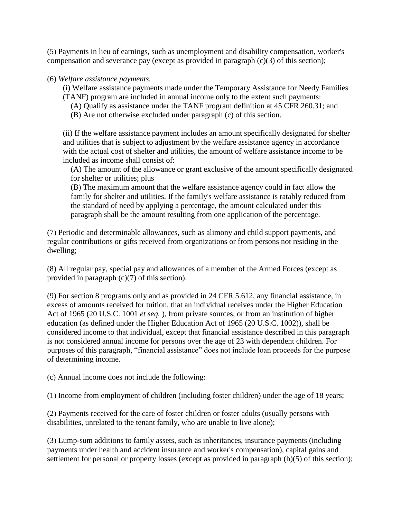(5) Payments in lieu of earnings, such as unemployment and disability compensation, worker's compensation and severance pay (except as provided in paragraph (c)(3) of this section);

#### (6) *Welfare assistance payments.*

(i) Welfare assistance payments made under the Temporary Assistance for Needy Families (TANF) program are included in annual income only to the extent such payments:

- (A) Qualify as assistance under the TANF program definition at 45 CFR 260.31; and
- (B) Are not otherwise excluded under paragraph (c) of this section.

(ii) If the welfare assistance payment includes an amount specifically designated for shelter and utilities that is subject to adjustment by the welfare assistance agency in accordance with the actual cost of shelter and utilities, the amount of welfare assistance income to be included as income shall consist of:

(A) The amount of the allowance or grant exclusive of the amount specifically designated for shelter or utilities; plus

(B) The maximum amount that the welfare assistance agency could in fact allow the family for shelter and utilities. If the family's welfare assistance is ratably reduced from the standard of need by applying a percentage, the amount calculated under this paragraph shall be the amount resulting from one application of the percentage.

(7) Periodic and determinable allowances, such as alimony and child support payments, and regular contributions or gifts received from organizations or from persons not residing in the dwelling;

(8) All regular pay, special pay and allowances of a member of the Armed Forces (except as provided in paragraph (c)(7) of this section).

(9) For section 8 programs only and as provided in 24 CFR 5.612, any financial assistance, in excess of amounts received for tuition, that an individual receives under the Higher Education Act of 1965 (20 U.S.C. 1001 *et seq.* ), from private sources, or from an institution of higher education (as defined under the Higher Education Act of 1965 (20 U.S.C. 1002)), shall be considered income to that individual, except that financial assistance described in this paragraph is not considered annual income for persons over the age of 23 with dependent children. For purposes of this paragraph, "financial assistance" does not include loan proceeds for the purpose of determining income.

(c) Annual income does not include the following:

(1) Income from employment of children (including foster children) under the age of 18 years;

(2) Payments received for the care of foster children or foster adults (usually persons with disabilities, unrelated to the tenant family, who are unable to live alone);

(3) Lump-sum additions to family assets, such as inheritances, insurance payments (including payments under health and accident insurance and worker's compensation), capital gains and settlement for personal or property losses (except as provided in paragraph (b)(5) of this section);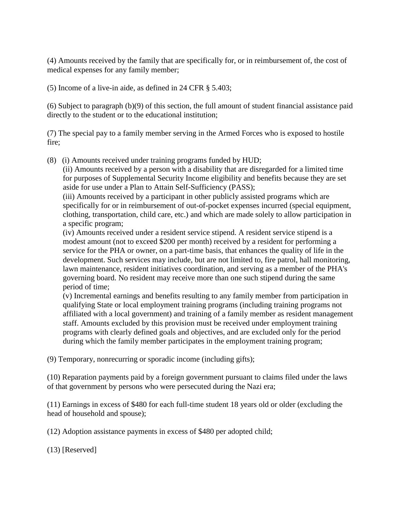(4) Amounts received by the family that are specifically for, or in reimbursement of, the cost of medical expenses for any family member;

(5) Income of a live-in aide, as defined in 24 CFR § 5.403;

(6) Subject to paragraph (b)(9) of this section, the full amount of student financial assistance paid directly to the student or to the educational institution;

(7) The special pay to a family member serving in the Armed Forces who is exposed to hostile fire;

(8) (i) Amounts received under training programs funded by HUD;

(ii) Amounts received by a person with a disability that are disregarded for a limited time for purposes of Supplemental Security Income eligibility and benefits because they are set aside for use under a Plan to Attain Self-Sufficiency (PASS);

(iii) Amounts received by a participant in other publicly assisted programs which are specifically for or in reimbursement of out-of-pocket expenses incurred (special equipment, clothing, transportation, child care, etc.) and which are made solely to allow participation in a specific program;

(iv) Amounts received under a resident service stipend. A resident service stipend is a modest amount (not to exceed \$200 per month) received by a resident for performing a service for the PHA or owner, on a part-time basis, that enhances the quality of life in the development. Such services may include, but are not limited to, fire patrol, hall monitoring, lawn maintenance, resident initiatives coordination, and serving as a member of the PHA's governing board. No resident may receive more than one such stipend during the same period of time;

(v) Incremental earnings and benefits resulting to any family member from participation in qualifying State or local employment training programs (including training programs not affiliated with a local government) and training of a family member as resident management staff. Amounts excluded by this provision must be received under employment training programs with clearly defined goals and objectives, and are excluded only for the period during which the family member participates in the employment training program;

(9) Temporary, nonrecurring or sporadic income (including gifts);

(10) Reparation payments paid by a foreign government pursuant to claims filed under the laws of that government by persons who were persecuted during the Nazi era;

(11) Earnings in excess of \$480 for each full-time student 18 years old or older (excluding the head of household and spouse);

(12) Adoption assistance payments in excess of \$480 per adopted child;

(13) [Reserved]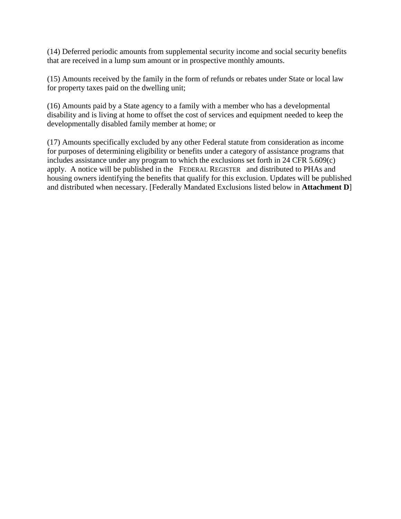(14) Deferred periodic amounts from supplemental security income and social security benefits that are received in a lump sum amount or in prospective monthly amounts.

(15) Amounts received by the family in the form of refunds or rebates under State or local law for property taxes paid on the dwelling unit;

(16) Amounts paid by a State agency to a family with a member who has a developmental disability and is living at home to offset the cost of services and equipment needed to keep the developmentally disabled family member at home; or

(17) Amounts specifically excluded by any other Federal statute from consideration as income for purposes of determining eligibility or benefits under a category of assistance programs that includes assistance under any program to which the exclusions set forth in 24 CFR 5.609(c) apply. A notice will be published in the FEDERAL REGISTER and distributed to PHAs and housing owners identifying the benefits that qualify for this exclusion. Updates will be published and distributed when necessary. [Federally Mandated Exclusions listed below in **Attachment D**]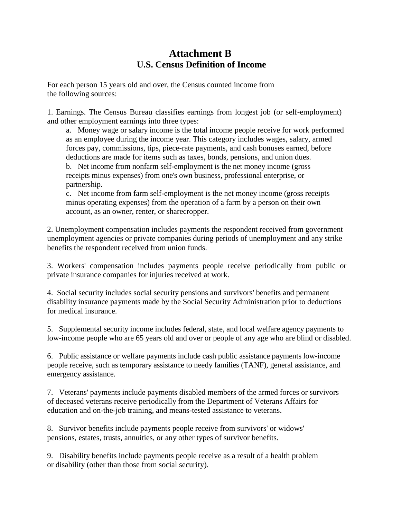## **Attachment B U.S. Census Definition of Income**

For each person 15 years old and over, the Census counted income from the following sources:

1. Earnings. The Census Bureau classifies earnings from longest job (or self-employment) and other employment earnings into three types:

a. Money wage or salary income is the total income people receive for work performed as an employee during the income year. This category includes wages, salary, armed forces pay, commissions, tips, piece-rate payments, and cash bonuses earned, before deductions are made for items such as taxes, bonds, pensions, and union dues. b. Net income from nonfarm self-employment is the net money income (gross receipts minus expenses) from one's own business, professional enterprise, or partnership.

c. Net income from farm self-employment is the net money income (gross receipts minus operating expenses) from the operation of a farm by a person on their own account, as an owner, renter, or sharecropper.

2. Unemployment compensation includes payments the respondent received from government unemployment agencies or private companies during periods of unemployment and any strike benefits the respondent received from union funds.

3. Workers' compensation includes payments people receive periodically from public or private insurance companies for injuries received at work.

4. Social security includes social security pensions and survivors' benefits and permanent disability insurance payments made by the Social Security Administration prior to deductions for medical insurance.

5. Supplemental security income includes federal, state, and local welfare agency payments to low-income people who are 65 years old and over or people of any age who are blind or disabled.

6. Public assistance or welfare payments include cash public assistance payments low-income people receive, such as temporary assistance to needy families (TANF), general assistance, and emergency assistance.

7. Veterans' payments include payments disabled members of the armed forces or survivors of deceased veterans receive periodically from the Department of Veterans Affairs for education and on-the-job training, and means-tested assistance to veterans.

8. Survivor benefits include payments people receive from survivors' or widows' pensions, estates, trusts, annuities, or any other types of survivor benefits.

9. Disability benefits include payments people receive as a result of a health problem or disability (other than those from social security).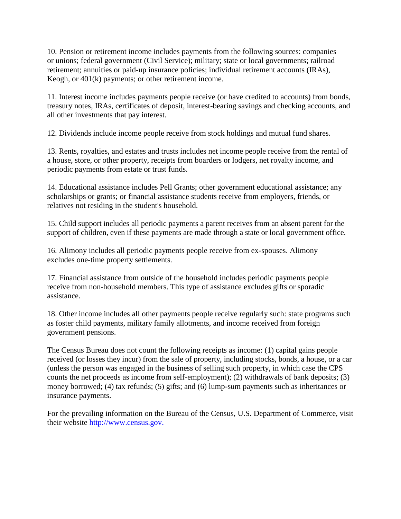10. Pension or retirement income includes payments from the following sources: companies or unions; federal government (Civil Service); military; state or local governments; railroad retirement; annuities or paid-up insurance policies; individual retirement accounts (IRAs), Keogh, or 401(k) payments; or other retirement income.

11. Interest income includes payments people receive (or have credited to accounts) from bonds, treasury notes, IRAs, certificates of deposit, interest-bearing savings and checking accounts, and all other investments that pay interest.

12. Dividends include income people receive from stock holdings and mutual fund shares.

13. Rents, royalties, and estates and trusts includes net income people receive from the rental of a house, store, or other property, receipts from boarders or lodgers, net royalty income, and periodic payments from estate or trust funds.

14. Educational assistance includes Pell Grants; other government educational assistance; any scholarships or grants; or financial assistance students receive from employers, friends, or relatives not residing in the student's household.

15. Child support includes all periodic payments a parent receives from an absent parent for the support of children, even if these payments are made through a state or local government office.

16. Alimony includes all periodic payments people receive from ex-spouses. Alimony excludes one-time property settlements.

17. Financial assistance from outside of the household includes periodic payments people receive from non-household members. This type of assistance excludes gifts or sporadic assistance.

18. Other income includes all other payments people receive regularly such: state programs such as foster child payments, military family allotments, and income received from foreign government pensions.

The Census Bureau does not count the following receipts as income: (1) capital gains people received (or losses they incur) from the sale of property, including stocks, bonds, a house, or a car (unless the person was engaged in the business of selling such property, in which case the CPS counts the net proceeds as income from self-employment); (2) withdrawals of bank deposits; (3) money borrowed; (4) tax refunds; (5) gifts; and (6) lump-sum payments such as inheritances or insurance payments.

For the prevailing information on the Bureau of the Census, U.S. Department of Commerce, visit their website [http://www.census.gov.](http://www.census.gov/)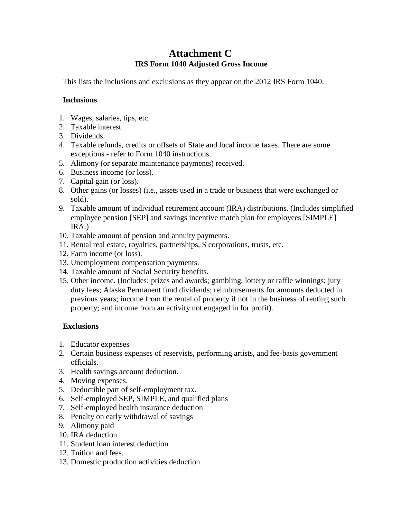## **Attachment C IRS Form 1040 Adjusted Gross Income**

This lists the inclusions and exclusions as they appear on the 2012 IRS Form 1040.

### **Inclusions**

- 1. Wages, salaries, tips, etc.
- 2. Taxable interest.
- 3. Dividends.
- 4. Taxable refunds, credits or offsets of State and local income taxes. There are some exceptions - refer to Form 1040 instructions.
- 5. Alimony (or separate maintenance payments) received.
- 6. Business income (or loss).
- 7. Capital gain (or loss).
- 8. Other gains (or losses) (i.e., assets used in a trade or business that were exchanged or sold).
- 9. Taxable amount of individual retirement account (IRA) distributions. (Includes simplified employee pension [SEP] and savings incentive match plan for employees [SIMPLE] IRA.)
- 10. Taxable amount of pension and annuity payments.
- 11. Rental real estate, royalties, partnerships, S corporations, trusts, etc.
- 12. Farm income (or loss).
- 13. Unemployment compensation payments.
- 14. Taxable amount of Social Security benefits.
- 15. Other income. (Includes: prizes and awards; gambling, lottery or raffle winnings; jury duty fees; Alaska Permanent fund dividends; reimbursements for amounts deducted in previous years; income from the rental of property if not in the business of renting such property; and income from an activity not engaged in for profit).

### **Exclusions**

- 1. Educator expenses
- 2. Certain business expenses of reservists, performing artists, and fee-basis government officials.
- 3. Health savings account deduction.
- 4. Moving expenses.
- 5. Deductible part of self-employment tax.
- 6. Self-employed SEP, SIMPLE, and qualified plans
- 7. Self-employed health insurance deduction
- 8. Penalty on early withdrawal of savings
- 9. Alimony paid
- 10. IRA deduction
- 11. Student loan interest deduction
- 12. Tuition and fees.
- 13. Domestic production activities deduction.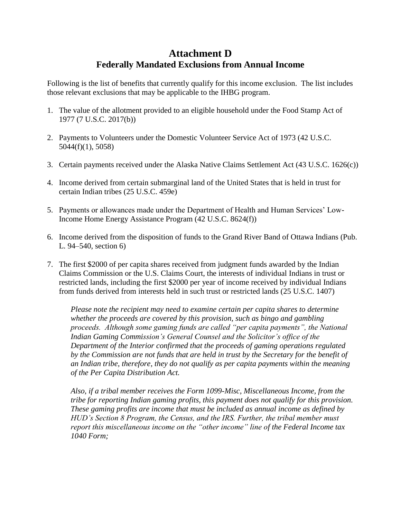# **Attachment D Federally Mandated Exclusions from Annual Income**

Following is the list of benefits that currently qualify for this income exclusion. The list includes those relevant exclusions that may be applicable to the IHBG program.

- 1. The value of the allotment provided to an eligible household under the Food Stamp Act of 1977 (7 U.S.C. 2017(b))
- 2. Payments to Volunteers under the Domestic Volunteer Service Act of 1973 (42 U.S.C. 5044(f)(1), 5058)
- 3. Certain payments received under the Alaska Native Claims Settlement Act (43 U.S.C. 1626(c))
- 4. Income derived from certain submarginal land of the United States that is held in trust for certain Indian tribes (25 U.S.C. 459e)
- 5. Payments or allowances made under the Department of Health and Human Services' Low-Income Home Energy Assistance Program (42 U.S.C. 8624(f))
- 6. Income derived from the disposition of funds to the Grand River Band of Ottawa Indians (Pub. L. 94–540, section 6)
- 7. The first \$2000 of per capita shares received from judgment funds awarded by the Indian Claims Commission or the U.S. Claims Court, the interests of individual Indians in trust or restricted lands, including the first \$2000 per year of income received by individual Indians from funds derived from interests held in such trust or restricted lands (25 U.S.C. 1407)

*Please note the recipient may need to examine certain per capita shares to determine whether the proceeds are covered by this provision, such as bingo and gambling proceeds. Although some gaming funds are called "per capita payments", the National Indian Gaming Commission's General Counsel and the Solicitor's office of the Department of the Interior confirmed that the proceeds of gaming operations regulated by the Commission are not funds that are held in trust by the Secretary for the benefit of an Indian tribe, therefore, they do not qualify as per capita payments within the meaning of the Per Capita Distribution Act.*

*Also, if a tribal member receives the Form 1099-Misc, Miscellaneous Income, from the tribe for reporting Indian gaming profits, this payment does not qualify for this provision. These gaming profits are income that must be included as annual income as defined by HUD's Section 8 Program, the Census, and the IRS. Further, the tribal member must report this miscellaneous income on the "other income" line of the Federal Income tax 1040 Form;*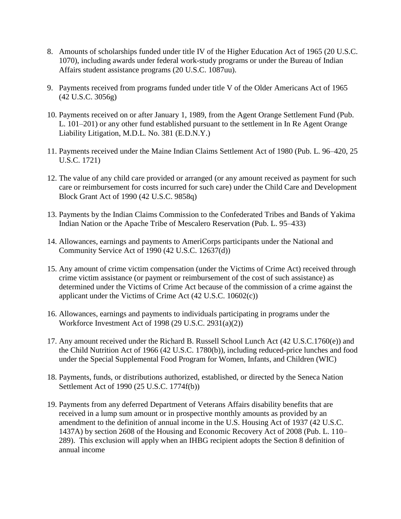- 8. Amounts of scholarships funded under title IV of the Higher Education Act of 1965 (20 U.S.C. 1070), including awards under federal work-study programs or under the Bureau of Indian Affairs student assistance programs (20 U.S.C. 1087uu).
- 9. Payments received from programs funded under title V of the Older Americans Act of 1965 (42 U.S.C. 3056g)
- 10. Payments received on or after January 1, 1989, from the Agent Orange Settlement Fund (Pub. L. 101–201) or any other fund established pursuant to the settlement in In Re Agent Orange Liability Litigation, M.D.L. No. 381 (E.D.N.Y.)
- 11. Payments received under the Maine Indian Claims Settlement Act of 1980 (Pub. L. 96–420, 25 U.S.C. 1721)
- 12. The value of any child care provided or arranged (or any amount received as payment for such care or reimbursement for costs incurred for such care) under the Child Care and Development Block Grant Act of 1990 (42 U.S.C. 9858q)
- 13. Payments by the Indian Claims Commission to the Confederated Tribes and Bands of Yakima Indian Nation or the Apache Tribe of Mescalero Reservation (Pub. L. 95–433)
- 14. Allowances, earnings and payments to AmeriCorps participants under the National and Community Service Act of 1990 (42 U.S.C. 12637(d))
- 15. Any amount of crime victim compensation (under the Victims of Crime Act) received through crime victim assistance (or payment or reimbursement of the cost of such assistance) as determined under the Victims of Crime Act because of the commission of a crime against the applicant under the Victims of Crime Act (42 U.S.C. 10602(c))
- 16. Allowances, earnings and payments to individuals participating in programs under the Workforce Investment Act of 1998 (29 U.S.C. 2931(a)(2))
- 17. Any amount received under the Richard B. Russell School Lunch Act (42 U.S.C.1760(e)) and the Child Nutrition Act of 1966 (42 U.S.C. 1780(b)), including reduced-price lunches and food under the Special Supplemental Food Program for Women, Infants, and Children (WIC)
- 18. Payments, funds, or distributions authorized, established, or directed by the Seneca Nation Settlement Act of 1990 (25 U.S.C. 1774f(b))
- 19. Payments from any deferred Department of Veterans Affairs disability benefits that are received in a lump sum amount or in prospective monthly amounts as provided by an amendment to the definition of annual income in the U.S. Housing Act of 1937 (42 U.S.C. 1437A) by section 2608 of the Housing and Economic Recovery Act of 2008 (Pub. L. 110– 289). This exclusion will apply when an IHBG recipient adopts the Section 8 definition of annual income